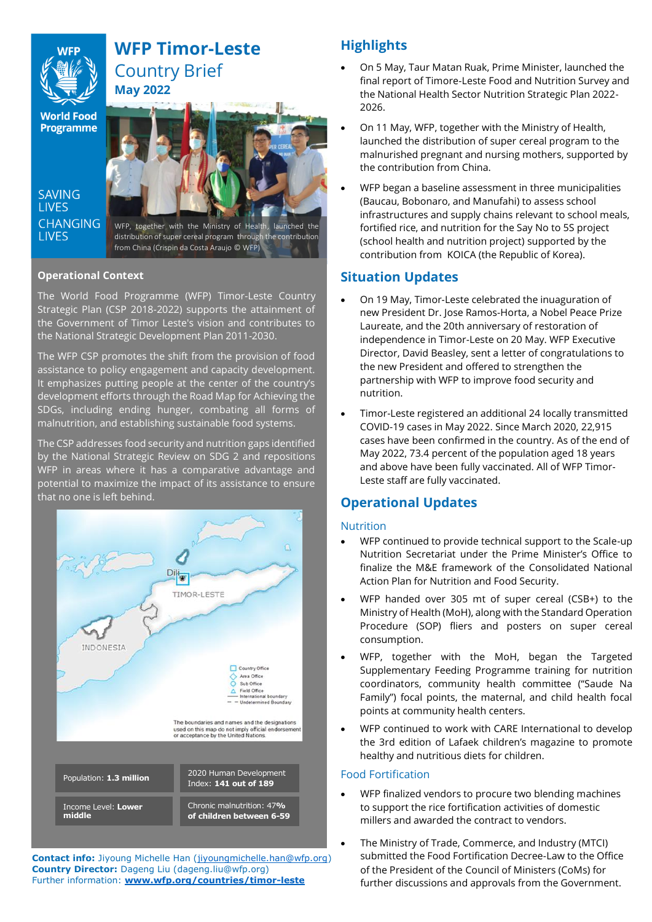# **WFP Timor-Leste** Country Brief

**World Food Programme** 

**SAVING I IVES** 



from China (Crispin da Costa Araujo © WFP)

### **Operational Context**

The World Food Programme (WFP) Timor-Leste Country Strategic Plan (CSP 2018-2022) supports the attainment of the Government of Timor Leste's vision and contributes to the National Strategic Development Plan 2011-2030.

The WFP CSP promotes the shift from the provision of food assistance to policy engagement and capacity development. It emphasizes putting people at the center of the country's development efforts through the Road Map for Achieving the SDGs, including ending hunger, combating all forms of malnutrition, and establishing sustainable food systems.

The CSP addresses food security and nutrition gaps identified by the National Strategic Review on SDG 2 and repositions WFP in areas where it has a comparative advantage and potential to maximize the impact of its assistance to ensure that no one is left behind.



**Contact info:** Jiyoung Michelle Han [\(jiyoungmichelle.han@wfp.org\)](mailto:jiyoungmichelle.han@wfp.org) **Country Director:** Dageng Liu (dageng.liu@wfp.org) Further information: **[www.wfp.org/countries/timor-leste](http://www.wfp.org/countries/timor-leste)**

# **Highlights**

- On 5 May, Taur Matan Ruak, Prime Minister, launched the final report of Timore-Leste Food and Nutrition Survey and the National Health Sector Nutrition Strategic Plan 2022- 2026.
- On 11 May, WFP, together with the Ministry of Health, launched the distribution of super cereal program to the malnurished pregnant and nursing mothers, supported by the contribution from China.
- WFP began a baseline assessment in three municipalities (Baucau, Bobonaro, and Manufahi) to assess school infrastructures and supply chains relevant to school meals, fortified rice, and nutrition for the Say No to 5S project (school health and nutrition project) supported by the contribution from KOICA (the Republic of Korea).

### **Situation Updates**

- On 19 May, Timor-Leste celebrated the inuaguration of new President Dr. Jose Ramos-Horta, a Nobel Peace Prize Laureate, and the 20th anniversary of restoration of independence in Timor-Leste on 20 May. WFP Executive Director, David Beasley, sent a letter of congratulations to the new President and offered to strengthen the partnership with WFP to improve food security and nutrition.
- Timor-Leste registered an additional 24 locally transmitted COVID-19 cases in May 2022. Since March 2020, 22,915 cases have been confirmed in the country. As of the end of May 2022, 73.4 percent of the population aged 18 years and above have been fully vaccinated. All of WFP Timor-Leste staff are fully vaccinated.

# **Operational Updates**

### Nutrition

- WFP continued to provide technical support to the Scale-up Nutrition Secretariat under the Prime Minister's Office to finalize the M&E framework of the Consolidated National Action Plan for Nutrition and Food Security.
- WFP handed over 305 mt of super cereal (CSB+) to the Ministry of Health (MoH), along with the Standard Operation Procedure (SOP) fliers and posters on super cereal consumption.
- WFP, together with the MoH, began the Targeted Supplementary Feeding Programme training for nutrition coordinators, community health committee ("Saude Na Family") focal points, the maternal, and child health focal points at community health centers.
- WFP continued to work with CARE International to develop the 3rd edition of Lafaek children's magazine to promote healthy and nutritious diets for children.

### Food Fortification

- WFP finalized vendors to procure two blending machines to support the rice fortification activities of domestic millers and awarded the contract to vendors.
- The Ministry of Trade, Commerce, and Industry (MTCI) submitted the Food Fortification Decree-Law to the Office of the President of the Council of Ministers (CoMs) for further discussions and approvals from the Government.